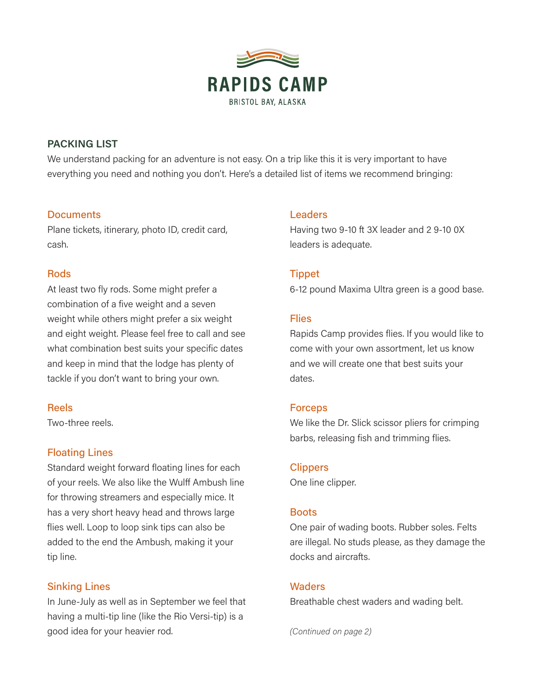

# PACKING LIST

We understand packing for an adventure is not easy. On a trip like this it is very important to have everything you need and nothing you don't. Here's a detailed list of items we recommend bringing:

# **Documents**

Plane tickets, itinerary, photo ID, credit card, cash.

# **Rods**

At least two fly rods. Some might prefer a combination of a five weight and a seven weight while others might prefer a six weight and eight weight. Please feel free to call and see what combination best suits your specific dates and keep in mind that the lodge has plenty of tackle if you don't want to bring your own.

# Reels

Two-three reels.

# Floating Lines

Standard weight forward floating lines for each of your reels. We also like the Wulff Ambush line for throwing streamers and especially mice. It has a very short heavy head and throws large flies well. Loop to loop sink tips can also be added to the end the Ambush, making it your tip line.

# Sinking Lines

In June-July as well as in September we feel that having a multi-tip line (like the Rio Versi-tip) is a good idea for your heavier rod.

# Leaders

Having two 9-10 ft 3X leader and 2 9-10 0X leaders is adequate.

# Tippet

6-12 pound Maxima Ultra green is a good base.

## **Flies**

Rapids Camp provides flies. If you would like to come with your own assortment, let us know and we will create one that best suits your dates.

## Forceps

We like the Dr. Slick scissor pliers for crimping barbs, releasing fish and trimming flies.

## **Clippers**

One line clipper.

## **Boots**

One pair of wading boots. Rubber soles. Felts are illegal. No studs please, as they damage the docks and aircrafts.

## **Waders**

Breathable chest waders and wading belt.

(Continued on page 2)